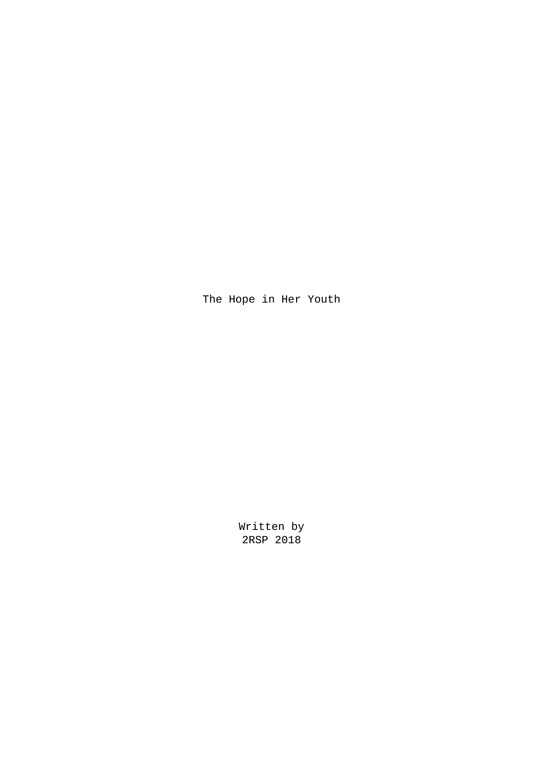The Hope in Her Youth

Written by 2RSP 2018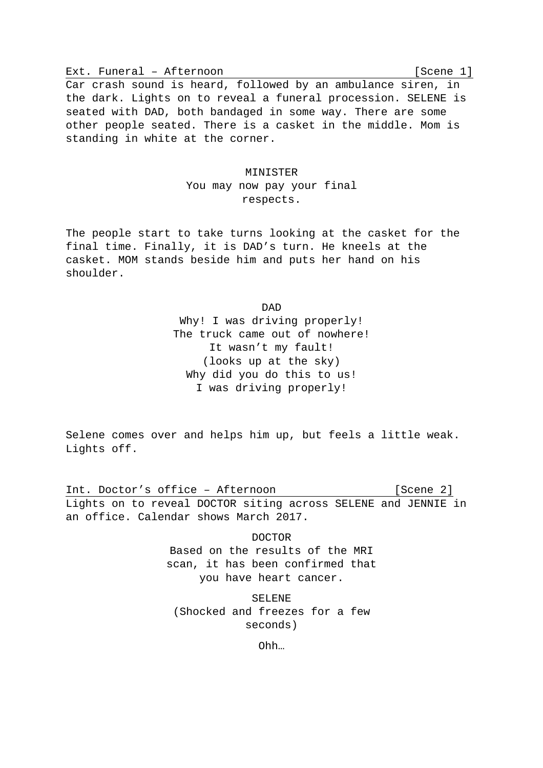Ext. Funeral – Afternoon [Scene 1] Car crash sound is heard, followed by an ambulance siren, in the dark. Lights on to reveal a funeral procession. SELENE is seated with DAD, both bandaged in some way. There are some other people seated. There is a casket in the middle. Mom is standing in white at the corner.

#### MINISTER

You may now pay your final respects.

The people start to take turns looking at the casket for the final time. Finally, it is DAD's turn. He kneels at the casket. MOM stands beside him and puts her hand on his shoulder.

> DAD Why! I was driving properly! The truck came out of nowhere! It wasn't my fault! (looks up at the sky) Why did you do this to us! I was driving properly!

Selene comes over and helps him up, but feels a little weak. Lights off.

Int. Doctor's office - Afternoon [Scene 2] Lights on to reveal DOCTOR siting across SELENE and JENNIE in an office. Calendar shows March 2017.

> DOCTOR Based on the results of the MRI scan, it has been confirmed that you have heart cancer.

SELENE (Shocked and freezes for a few seconds)

Ohh…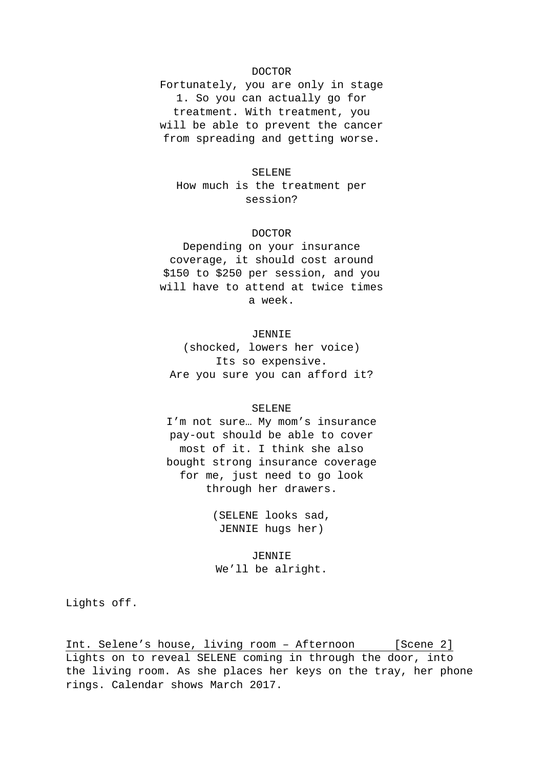## DOCTOR

Fortunately, you are only in stage 1. So you can actually go for treatment. With treatment, you will be able to prevent the cancer from spreading and getting worse.

#### SELENE

How much is the treatment per session?

## DOCTOR

Depending on your insurance coverage, it should cost around \$150 to \$250 per session, and you will have to attend at twice times a week.

## JENNIE

(shocked, lowers her voice) Its so expensive. Are you sure you can afford it?

#### SELENE

I'm not sure… My mom's insurance pay-out should be able to cover most of it. I think she also bought strong insurance coverage for me, just need to go look through her drawers.

> (SELENE looks sad, JENNIE hugs her)

JENNIE We'll be alright.

Lights off.

Int. Selene's house, living room - Afternoon [Scene 2] Lights on to reveal SELENE coming in through the door, into the living room. As she places her keys on the tray, her phone rings. Calendar shows March 2017.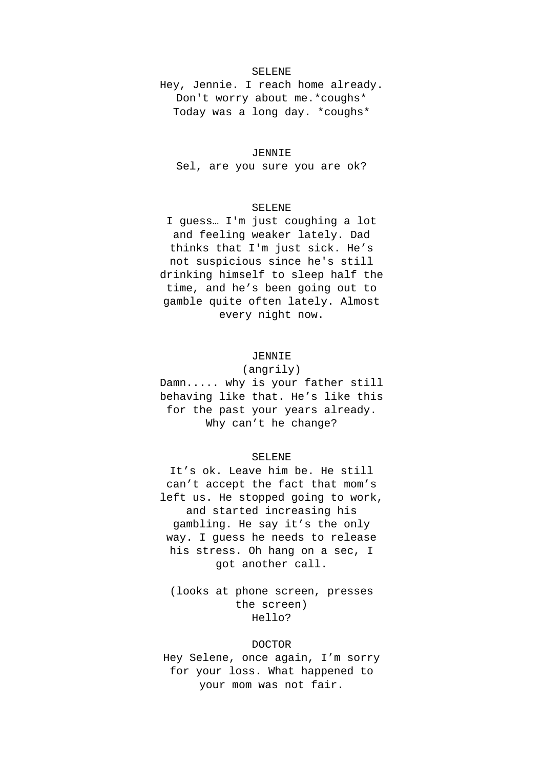## SELENE

Hey, Jennie. I reach home already. Don't worry about me.\*coughs\* Today was a long day. \*coughs\*

#### JENNIE

Sel, are you sure you are ok?

## SELENE

I guess… I'm just coughing a lot and feeling weaker lately. Dad thinks that I'm just sick. He's not suspicious since he's still drinking himself to sleep half the time, and he's been going out to gamble quite often lately. Almost every night now.

## JENNIE

(angrily) Damn..... why is your father still behaving like that. He's like this for the past your years already. Why can't he change?

## SELENE

It's ok. Leave him be. He still can't accept the fact that mom's left us. He stopped going to work, and started increasing his gambling. He say it's the only way. I guess he needs to release his stress. Oh hang on a sec, I got another call.

(looks at phone screen, presses the screen) Hello?

#### DOCTOR

Hey Selene, once again, I'm sorry for your loss. What happened to your mom was not fair.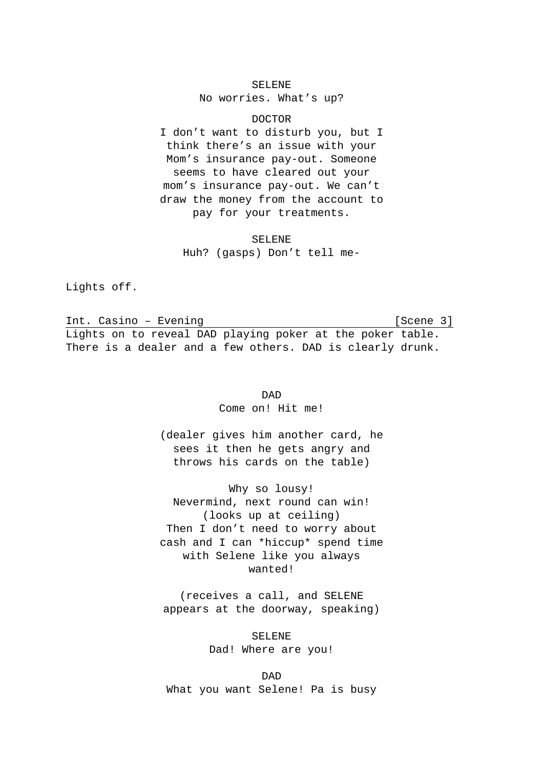#### SELENE

No worries. What's up?

DOCTOR

I don't want to disturb you, but I think there's an issue with your Mom's insurance pay-out. Someone seems to have cleared out your mom's insurance pay-out. We can't draw the money from the account to pay for your treatments.

> SELENE Huh? (gasps) Don't tell me-

Lights off.

Int. Casino – Evening (Scene 3) Lights on to reveal DAD playing poker at the poker table. There is a dealer and a few others. DAD is clearly drunk.

> DAD Come on! Hit me!

(dealer gives him another card, he sees it then he gets angry and throws his cards on the table)

Why so lousy! Nevermind, next round can win! (looks up at ceiling) Then I don't need to worry about cash and I can \*hiccup\* spend time with Selene like you always wanted!

(receives a call, and SELENE appears at the doorway, speaking)

> SELENE Dad! Where are you!

DAD What you want Selene! Pa is busy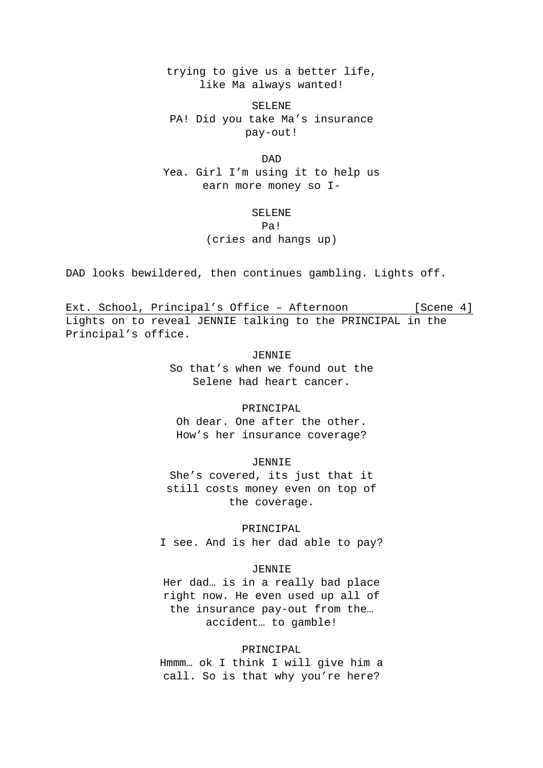trying to give us a better life, like Ma always wanted!

SELENE PA! Did you take Ma's insurance pay-out!

DAD Yea. Girl I'm using it to help us earn more money so I-

#### SELENE

Pa!

(cries and hangs up)

DAD looks bewildered, then continues gambling. Lights off.

Ext. School, Principal's Office - Afternoon [Scene 4] Lights on to reveal JENNIE talking to the PRINCIPAL in the Principal's office.

> JENNIE So that's when we found out the Selene had heart cancer.

#### PRINCIPAL

Oh dear. One after the other. How's her insurance coverage?

#### JENNIE

She's covered, its just that it still costs money even on top of the coverage.

PRINCIPAL I see. And is her dad able to pay?

### JENNIE

Her dad… is in a really bad place right now. He even used up all of the insurance pay-out from the… accident… to gamble!

#### PRINCIPAL

Hmmm… ok I think I will give him a call. So is that why you're here?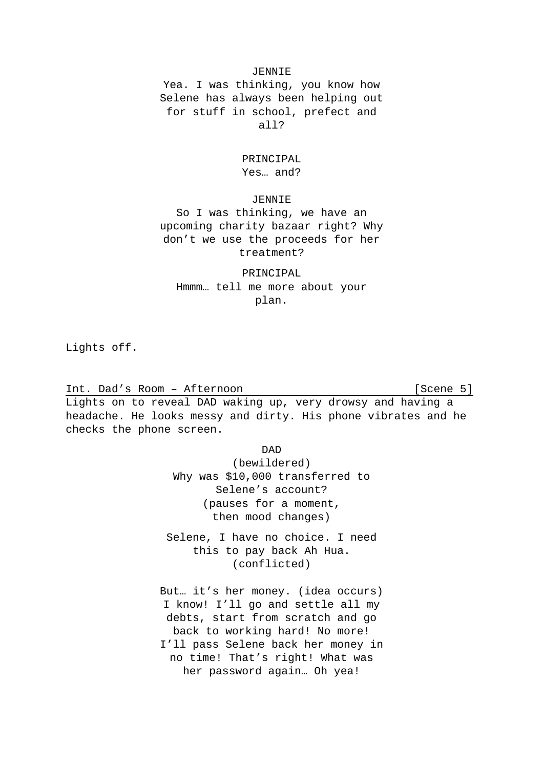### JENNIE

Yea. I was thinking, you know how Selene has always been helping out for stuff in school, prefect and all?

## PRINCIPAL Yes… and?

### JENNIE

So I was thinking, we have an upcoming charity bazaar right? Why don't we use the proceeds for her treatment?

PRINCIPAL Hmmm… tell me more about your plan.

Lights off.

Int. Dad's Room - Afternoon [Scene 5] Lights on to reveal DAD waking up, very drowsy and having a headache. He looks messy and dirty. His phone vibrates and he checks the phone screen.

DAD

(bewildered) Why was \$10,000 transferred to Selene's account? (pauses for a moment, then mood changes)

Selene, I have no choice. I need this to pay back Ah Hua. (conflicted)

But… it's her money. (idea occurs) I know! I'll go and settle all my debts, start from scratch and go back to working hard! No more! I'll pass Selene back her money in no time! That's right! What was her password again… Oh yea!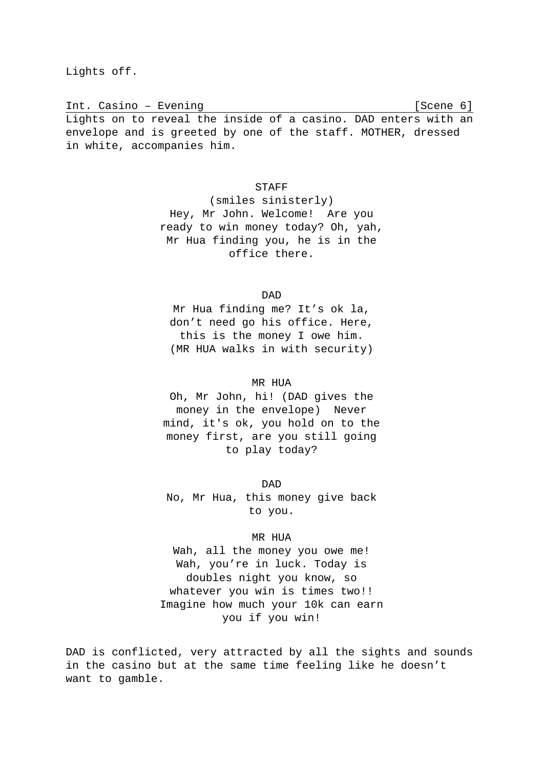Lights off.

Int. Casino – Evening (Scene 6) Lights on to reveal the inside of a casino. DAD enters with an envelope and is greeted by one of the staff. MOTHER, dressed in white, accompanies him.

### **STAFF**

(smiles sinisterly) Hey, Mr John. Welcome! Are you ready to win money today? Oh, yah, Mr Hua finding you, he is in the office there.

DAD

Mr Hua finding me? It's ok la, don't need go his office. Here, this is the money I owe him. (MR HUA walks in with security)

### MR HUA

Oh, Mr John, hi! (DAD gives the money in the envelope) Never mind, it's ok, you hold on to the money first, are you still going to play today?

DAD No, Mr Hua, this money give back to you.

### MR HUA

Wah, all the money you owe me! Wah, you're in luck. Today is doubles night you know, so whatever you win is times two!! Imagine how much your 10k can earn you if you win!

DAD is conflicted, very attracted by all the sights and sounds in the casino but at the same time feeling like he doesn't want to gamble.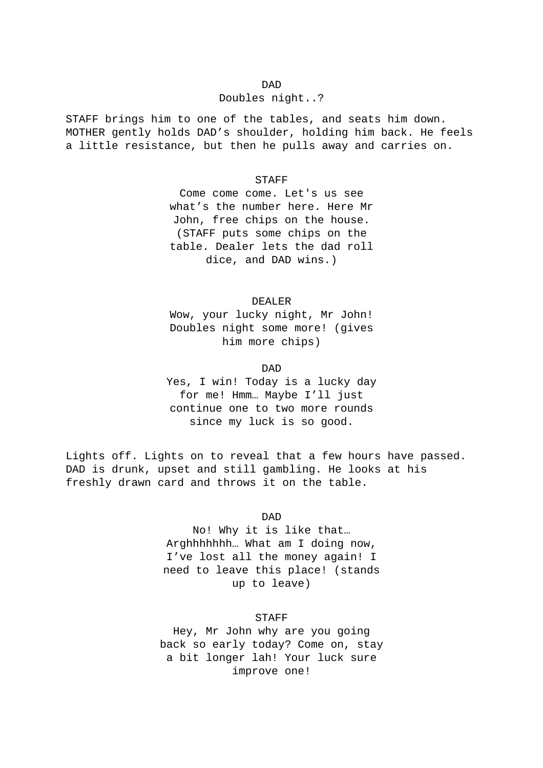#### DAD

#### Doubles night..?

STAFF brings him to one of the tables, and seats him down. MOTHER gently holds DAD's shoulder, holding him back. He feels a little resistance, but then he pulls away and carries on.

#### STAFF

Come come come. Let's us see what's the number here. Here Mr John, free chips on the house. (STAFF puts some chips on the table. Dealer lets the dad roll dice, and DAD wins.)

#### DEALER

Wow, your lucky night, Mr John! Doubles night some more! (gives him more chips)

#### DAD

Yes, I win! Today is a lucky day for me! Hmm… Maybe I'll just continue one to two more rounds since my luck is so good.

Lights off. Lights on to reveal that a few hours have passed. DAD is drunk, upset and still gambling. He looks at his freshly drawn card and throws it on the table.

#### DAD

No! Why it is like that… Arghhhhhhh… What am I doing now, I've lost all the money again! I need to leave this place! (stands up to leave)

## STAFF

Hey, Mr John why are you going back so early today? Come on, stay a bit longer lah! Your luck sure improve one!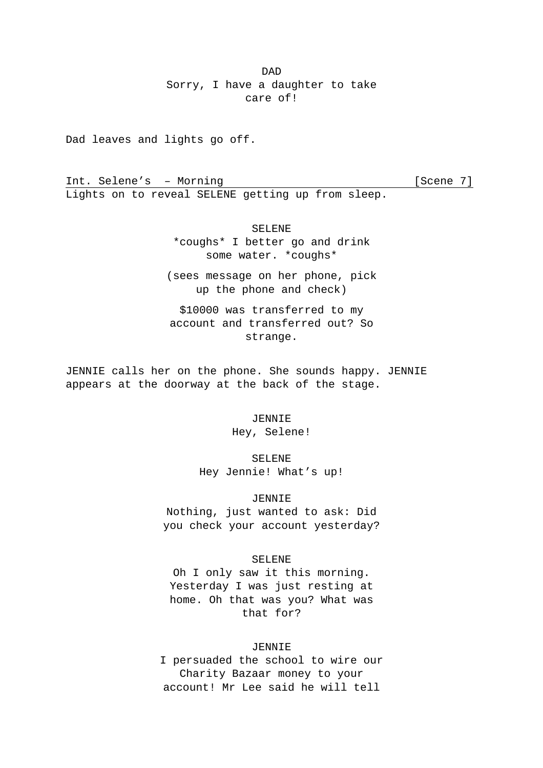DAD Sorry, I have a daughter to take care of!

Dad leaves and lights go off.

Int. Selene's - Morning [Scene 7] Lights on to reveal SELENE getting up from sleep.

> SELENE \*coughs\* I better go and drink some water. \*coughs\*

(sees message on her phone, pick up the phone and check)

\$10000 was transferred to my account and transferred out? So strange.

JENNIE calls her on the phone. She sounds happy. JENNIE appears at the doorway at the back of the stage.

> JENNIE Hey, Selene!

SELENE

Hey Jennie! What's up!

### JENNIE

Nothing, just wanted to ask: Did you check your account yesterday?

#### SELENE

Oh I only saw it this morning. Yesterday I was just resting at home. Oh that was you? What was that for?

## JENNIE

I persuaded the school to wire our Charity Bazaar money to your account! Mr Lee said he will tell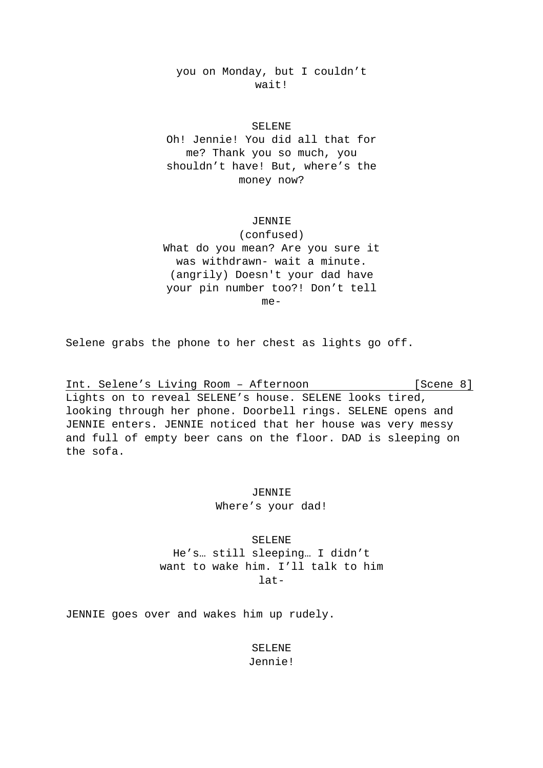you on Monday, but I couldn't wait!

## SELENE

Oh! Jennie! You did all that for me? Thank you so much, you shouldn't have! But, where's the money now?

#### JENNIE

(confused) What do you mean? Are you sure it was withdrawn- wait a minute. (angrily) Doesn't your dad have your pin number too?! Don't tell

me-

Selene grabs the phone to her chest as lights go off.

Int. Selene's Living Room - Afternoon [Scene 8] Lights on to reveal SELENE's house. SELENE looks tired, looking through her phone. Doorbell rings. SELENE opens and JENNIE enters. JENNIE noticed that her house was very messy and full of empty beer cans on the floor. DAD is sleeping on the sofa.

> JENNIE Where's your dad!

SELENE He's… still sleeping… I didn't want to wake him. I'll talk to him  $l$ at-

JENNIE goes over and wakes him up rudely.

SELENE Jennie!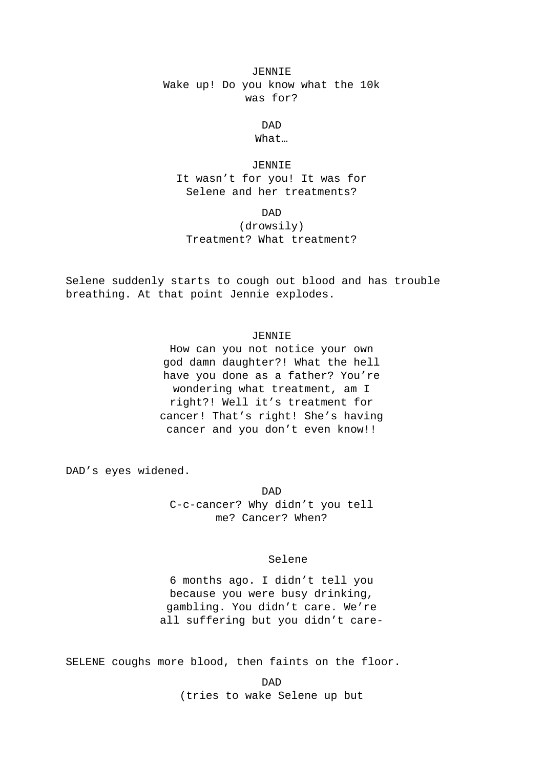## JENNIE Wake up! Do you know what the 10k was for?

DAD What…

JENNIE It wasn't for you! It was for Selene and her treatments?

DAD

(drowsily) Treatment? What treatment?

Selene suddenly starts to cough out blood and has trouble breathing. At that point Jennie explodes.

## JENNIE

How can you not notice your own god damn daughter?! What the hell have you done as a father? You're wondering what treatment, am I right?! Well it's treatment for cancer! That's right! She's having cancer and you don't even know!!

DAD's eyes widened.

DAD C-c-cancer? Why didn't you tell me? Cancer? When?

#### Selene

6 months ago. I didn't tell you because you were busy drinking, gambling. You didn't care. We're all suffering but you didn't care-

SELENE coughs more blood, then faints on the floor.

DAD (tries to wake Selene up but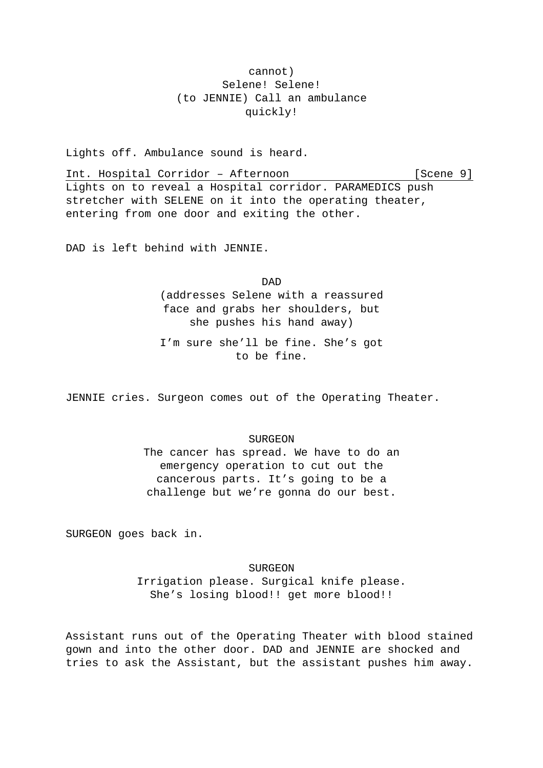## cannot) Selene! Selene! (to JENNIE) Call an ambulance quickly!

Lights off. Ambulance sound is heard.

Int. Hospital Corridor - Afternoon [Scene 9] Lights on to reveal a Hospital corridor. PARAMEDICS push stretcher with SELENE on it into the operating theater, entering from one door and exiting the other.

DAD is left behind with JENNIE.

DAD (addresses Selene with a reassured face and grabs her shoulders, but she pushes his hand away)

I'm sure she'll be fine. She's got to be fine.

JENNIE cries. Surgeon comes out of the Operating Theater.

## SURGEON

The cancer has spread. We have to do an emergency operation to cut out the cancerous parts. It's going to be a challenge but we're gonna do our best.

SURGEON goes back in.

SURGEON Irrigation please. Surgical knife please. She's losing blood!! get more blood!!

Assistant runs out of the Operating Theater with blood stained gown and into the other door. DAD and JENNIE are shocked and tries to ask the Assistant, but the assistant pushes him away.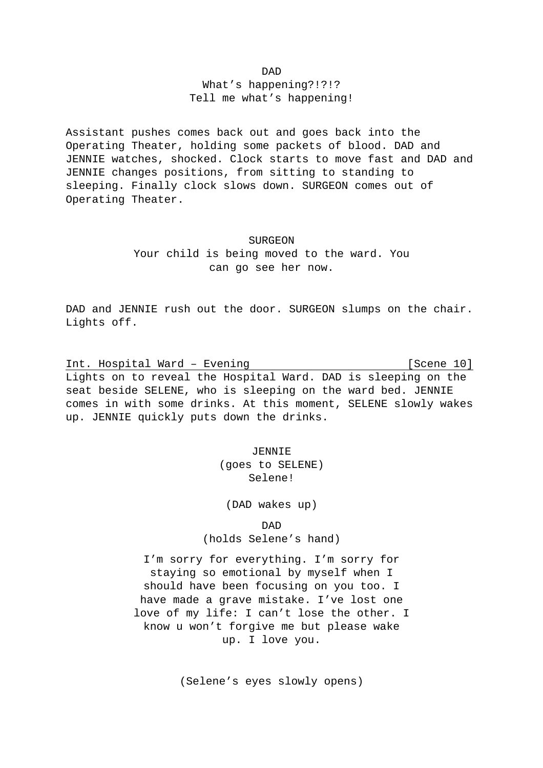DAD

What's happening?!?!? Tell me what's happening!

Assistant pushes comes back out and goes back into the Operating Theater, holding some packets of blood. DAD and JENNIE watches, shocked. Clock starts to move fast and DAD and JENNIE changes positions, from sitting to standing to sleeping. Finally clock slows down. SURGEON comes out of Operating Theater.

#### SURGEON

Your child is being moved to the ward. You can go see her now.

DAD and JENNIE rush out the door. SURGEON slumps on the chair. Lights off.

Int. Hospital Ward - Evening [Scene 10] Lights on to reveal the Hospital Ward. DAD is sleeping on the seat beside SELENE, who is sleeping on the ward bed. JENNIE comes in with some drinks. At this moment, SELENE slowly wakes up. JENNIE quickly puts down the drinks.

> JENNIE (goes to SELENE) Selene!

(DAD wakes up)

DAD (holds Selene's hand)

I'm sorry for everything. I'm sorry for staying so emotional by myself when I should have been focusing on you too. I have made a grave mistake. I've lost one love of my life: I can't lose the other. I know u won't forgive me but please wake up. I love you.

(Selene's eyes slowly opens)